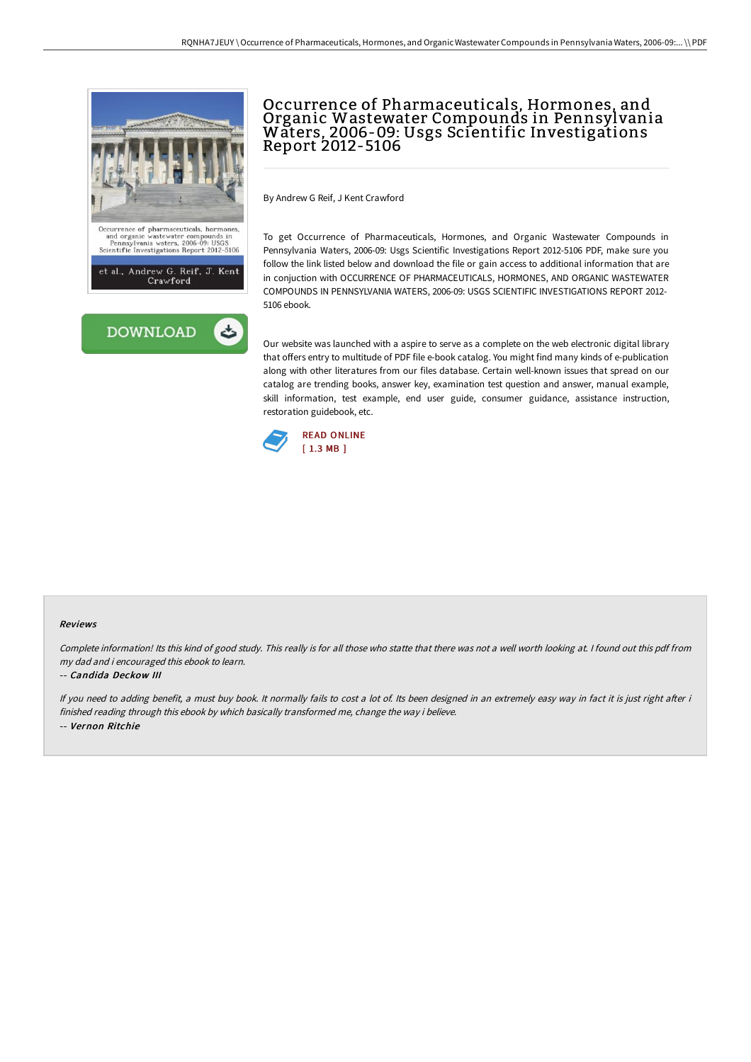

# Occurrence of Pharmaceuticals, Hormones, and Organic Wastewater Compounds in Pennsylvania Waters, 2006-09: Usgs Scientific Investigations Report 2012-5106

By Andrew G Reif, J Kent Crawford

To get Occurrence of Pharmaceuticals, Hormones, and Organic Wastewater Compounds in Pennsylvania Waters, 2006-09: Usgs Scientific Investigations Report 2012-5106 PDF, make sure you follow the link listed below and download the file or gain access to additional information that are in conjuction with OCCURRENCE OF PHARMACEUTICALS, HORMONES, AND ORGANIC WASTEWATER COMPOUNDS IN PENNSYLVANIA WATERS, 2006-09: USGS SCIENTIFIC INVESTIGATIONS REPORT 2012- 5106 ebook.

Our website was launched with a aspire to serve as a complete on the web electronic digital library that offers entry to multitude of PDF file e-book catalog. You might find many kinds of e-publication along with other literatures from our files database. Certain well-known issues that spread on our catalog are trending books, answer key, examination test question and answer, manual example, skill information, test example, end user guide, consumer guidance, assistance instruction, restoration guidebook, etc.



#### Reviews

Complete information! Its this kind of good study. This really is for all those who statte that there was not <sup>a</sup> well worth looking at. <sup>I</sup> found out this pdf from my dad and i encouraged this ebook to learn.

#### -- Candida Deckow III

If you need to adding benefit, a must buy book. It normally fails to cost a lot of. Its been designed in an extremely easy way in fact it is just right after i finished reading through this ebook by which basically transformed me, change the way i believe. -- Vernon Ritchie